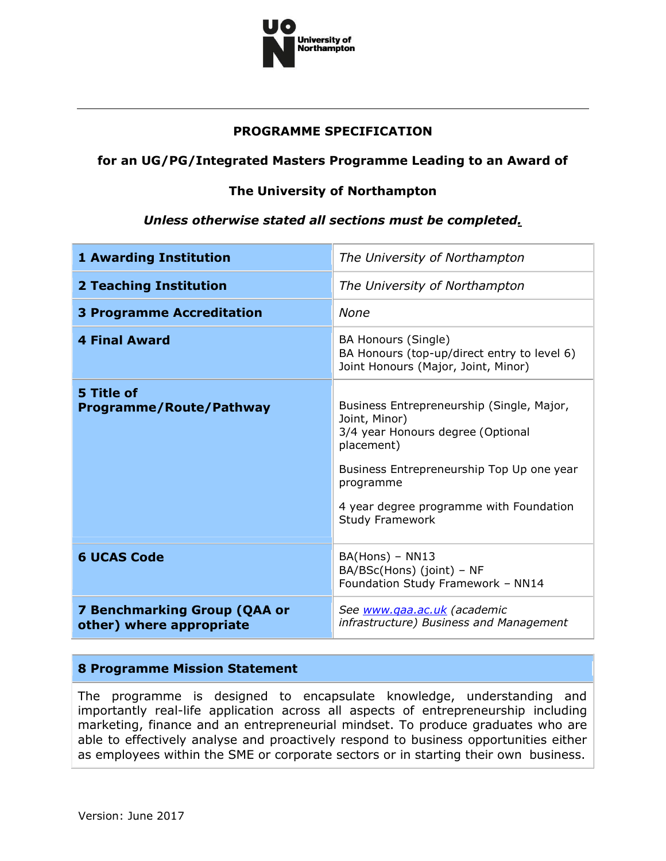

# **PROGRAMME SPECIFICATION**

# **for an UG/PG/Integrated Masters Programme Leading to an Award of**

# **The University of Northampton**

#### *Unless otherwise stated all sections must be completed.*

| <b>1 Awarding Institution</b>                                   | The University of Northampton                                                                                                                                                                                                                |
|-----------------------------------------------------------------|----------------------------------------------------------------------------------------------------------------------------------------------------------------------------------------------------------------------------------------------|
| <b>2 Teaching Institution</b>                                   | The University of Northampton                                                                                                                                                                                                                |
| <b>3 Programme Accreditation</b>                                | None                                                                                                                                                                                                                                         |
| <b>4 Final Award</b>                                            | <b>BA Honours (Single)</b><br>BA Honours (top-up/direct entry to level 6)<br>Joint Honours (Major, Joint, Minor)                                                                                                                             |
| 5 Title of<br><b>Programme/Route/Pathway</b>                    | Business Entrepreneurship (Single, Major,<br>Joint, Minor)<br>3/4 year Honours degree (Optional<br>placement)<br>Business Entrepreneurship Top Up one year<br>programme<br>4 year degree programme with Foundation<br><b>Study Framework</b> |
| <b>6 UCAS Code</b>                                              | $BA(Hons) - NN13$<br>BA/BSc(Hons) (joint) - NF<br>Foundation Study Framework - NN14                                                                                                                                                          |
| <b>7 Benchmarking Group (QAA or</b><br>other) where appropriate | See www.qaa.ac.uk (academic<br>infrastructure) Business and Management                                                                                                                                                                       |

#### **8 Programme Mission Statement**

The programme is designed to encapsulate knowledge, understanding and importantly real-life application across all aspects of entrepreneurship including marketing, finance and an entrepreneurial mindset. To produce graduates who are able to effectively analyse and proactively respond to business opportunities either as employees within the SME or corporate sectors or in starting their own business.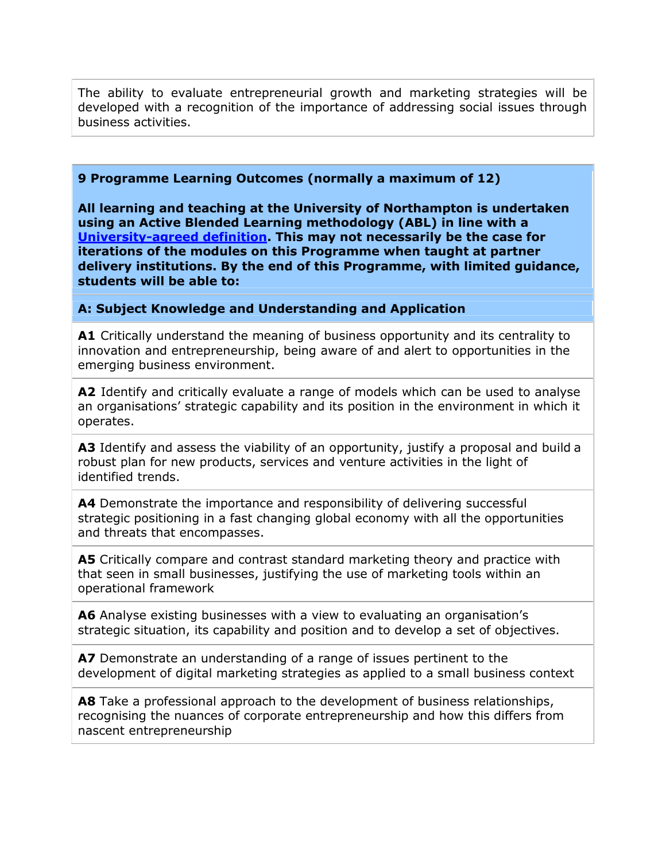The ability to evaluate entrepreneurial growth and marketing strategies will be developed with a recognition of the importance of addressing social issues through business activities.

#### **9 Programme Learning Outcomes (normally a maximum of 12)**

**All learning and teaching at the University of Northampton is undertaken using an Active Blended Learning methodology (ABL) in line with a [University-agreed definition.](https://www.northampton.ac.uk/ilt/current-projects/defining-abl/) This may not necessarily be the case for iterations of the modules on this Programme when taught at partner delivery institutions. By the end of this Programme, with limited guidance, students will be able to:**

#### **A: Subject Knowledge and Understanding and Application**

**A1** Critically understand the meaning of business opportunity and its centrality to innovation and entrepreneurship, being aware of and alert to opportunities in the emerging business environment.

**A2** Identify and critically evaluate a range of models which can be used to analyse an organisations' strategic capability and its position in the environment in which it operates.

A3 Identify and assess the viability of an opportunity, justify a proposal and build a robust plan for new products, services and venture activities in the light of identified trends.

**A4** Demonstrate the importance and responsibility of delivering successful strategic positioning in a fast changing global economy with all the opportunities and threats that encompasses.

**A5** Critically compare and contrast standard marketing theory and practice with that seen in small businesses, justifying the use of marketing tools within an operational framework

**A6** Analyse existing businesses with a view to evaluating an organisation's strategic situation, its capability and position and to develop a set of objectives.

**A7** Demonstrate an understanding of a range of issues pertinent to the development of digital marketing strategies as applied to a small business context

**A8** Take a professional approach to the development of business relationships, recognising the nuances of corporate entrepreneurship and how this differs from nascent entrepreneurship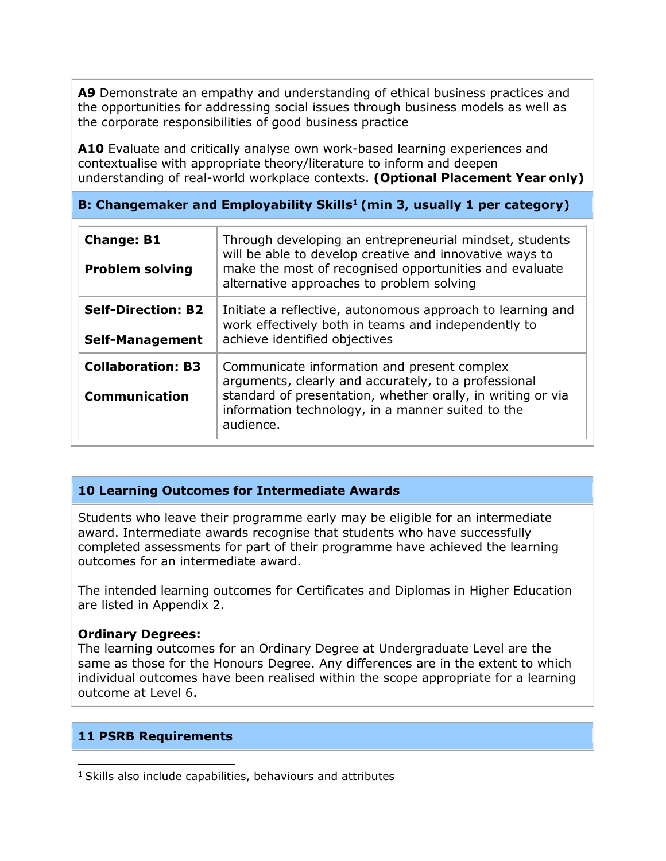**A9** Demonstrate an empathy and understanding of ethical business practices and the opportunities for addressing social issues through business models as well as the corporate responsibilities of good business practice

**A10** Evaluate and critically analyse own work-based learning experiences and contextualise with appropriate theory/literature to inform and deepen understanding of real-world workplace contexts. **(Optional Placement Year only)**

# **B: Changemaker and Employability Skills<sup>1</sup>(min 3, usually 1 per category)**

| <b>Change: B1</b><br><b>Problem solving</b>         | Through developing an entrepreneurial mindset, students<br>will be able to develop creative and innovative ways to<br>make the most of recognised opportunities and evaluate<br>alternative approaches to problem solving            |
|-----------------------------------------------------|--------------------------------------------------------------------------------------------------------------------------------------------------------------------------------------------------------------------------------------|
| <b>Self-Direction: B2</b><br><b>Self-Management</b> | Initiate a reflective, autonomous approach to learning and<br>work effectively both in teams and independently to<br>achieve identified objectives                                                                                   |
| <b>Collaboration: B3</b><br><b>Communication</b>    | Communicate information and present complex<br>arguments, clearly and accurately, to a professional<br>standard of presentation, whether orally, in writing or via<br>information technology, in a manner suited to the<br>audience. |

# **10 Learning Outcomes for Intermediate Awards**

Students who leave their programme early may be eligible for an intermediate award. Intermediate awards recognise that students who have successfully completed assessments for part of their programme have achieved the learning outcomes for an intermediate award.

The intended learning outcomes for Certificates and Diplomas in Higher Education are listed in Appendix 2.

#### **Ordinary Degrees:**

The learning outcomes for an Ordinary Degree at Undergraduate Level are the same as those for the Honours Degree. Any differences are in the extent to which individual outcomes have been realised within the scope appropriate for a learning outcome at Level 6.

# **11 PSRB Requirements**

 $1$  Skills also include capabilities, behaviours and attributes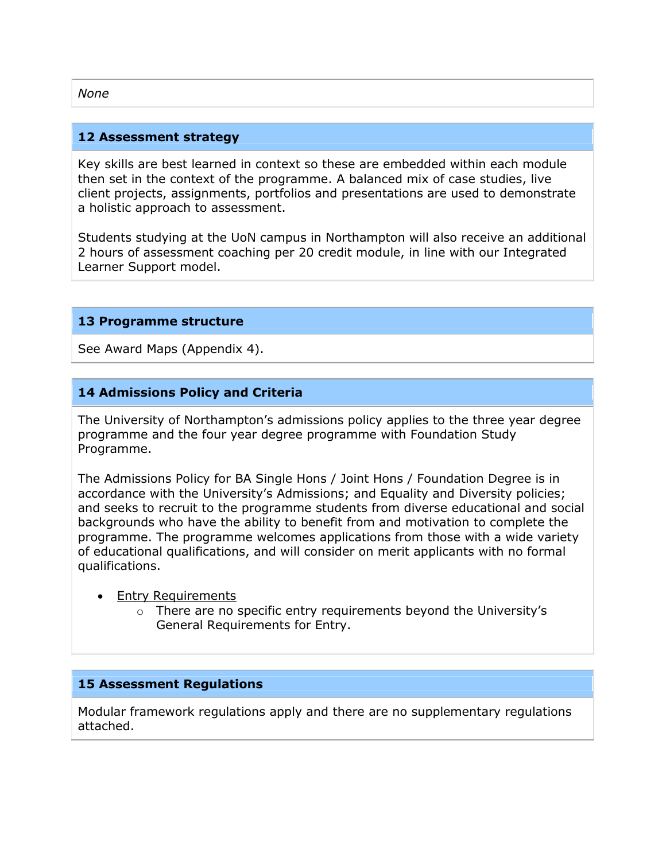#### **12 Assessment strategy**

Key skills are best learned in context so these are embedded within each module then set in the context of the programme. A balanced mix of case studies, live client projects, assignments, portfolios and presentations are used to demonstrate a holistic approach to assessment.

Students studying at the UoN campus in Northampton will also receive an additional 2 hours of assessment coaching per 20 credit module, in line with our Integrated Learner Support model.

#### **13 Programme structure**

See Award Maps (Appendix 4).

# **14 Admissions Policy and Criteria**

The University of Northampton's admissions policy applies to the three year degree programme and the four year degree programme with Foundation Study Programme.

The Admissions Policy for BA Single Hons / Joint Hons / Foundation Degree is in accordance with the University's Admissions; and Equality and Diversity policies; and seeks to recruit to the programme students from diverse educational and social backgrounds who have the ability to benefit from and motivation to complete the programme. The programme welcomes applications from those with a wide variety of educational qualifications, and will consider on merit applicants with no formal qualifications.

- Entry Requirements
	- $\circ$  There are no specific entry requirements beyond the University's General Requirements for Entry.

#### **15 Assessment Regulations**

Modular framework regulations apply and there are no supplementary regulations attached.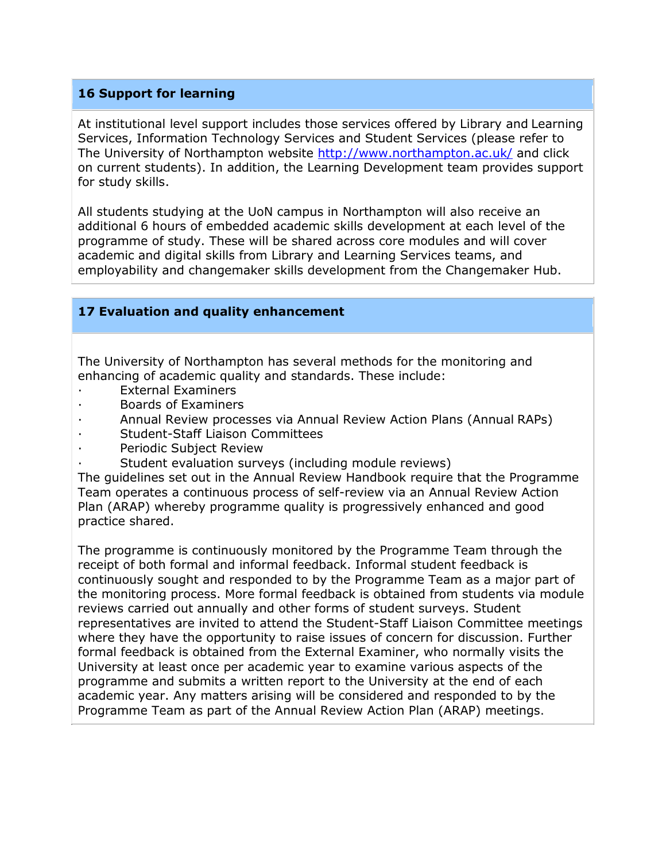# **16 Support for learning**

At institutional level support includes those services offered by Library and Learning Services, Information Technology Services and Student Services (please refer to The University of Northampton website<http://www.northampton.ac.uk/> and click on current students). In addition, the Learning Development team provides support for study skills.

All students studying at the UoN campus in Northampton will also receive an additional 6 hours of embedded academic skills development at each level of the programme of study. These will be shared across core modules and will cover academic and digital skills from Library and Learning Services teams, and employability and changemaker skills development from the Changemaker Hub.

# **17 Evaluation and quality enhancement**

The University of Northampton has several methods for the monitoring and enhancing of academic quality and standards. These include:

- **External Examiners**
- · Boards of Examiners
- · Annual Review processes via Annual Review Action Plans (Annual RAPs)
- Student-Staff Liaison Committees
- Periodic Subject Review
- Student evaluation surveys (including module reviews)

The guidelines set out in the Annual Review Handbook require that the Programme Team operates a continuous process of self-review via an Annual Review Action Plan (ARAP) whereby programme quality is progressively enhanced and good practice shared.

The programme is continuously monitored by the Programme Team through the receipt of both formal and informal feedback. Informal student feedback is continuously sought and responded to by the Programme Team as a major part of the monitoring process. More formal feedback is obtained from students via module reviews carried out annually and other forms of student surveys. Student representatives are invited to attend the Student-Staff Liaison Committee meetings where they have the opportunity to raise issues of concern for discussion. Further formal feedback is obtained from the External Examiner, who normally visits the University at least once per academic year to examine various aspects of the programme and submits a written report to the University at the end of each academic year. Any matters arising will be considered and responded to by the Programme Team as part of the Annual Review Action Plan (ARAP) meetings.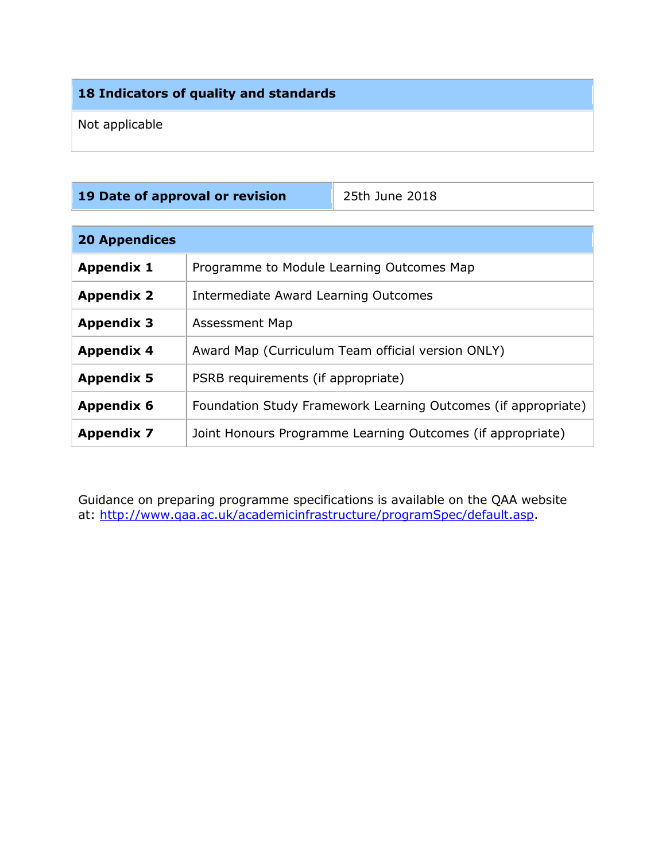# **18 Indicators of quality and standards**

Not applicable

|  | 19 Date of approval or revision |  |
|--|---------------------------------|--|
|  |                                 |  |

**19 Date of approval or revision** 25th June 2018

| <b>20 Appendices</b> |                                                               |  |  |  |  |  |  |  |
|----------------------|---------------------------------------------------------------|--|--|--|--|--|--|--|
| <b>Appendix 1</b>    | Programme to Module Learning Outcomes Map                     |  |  |  |  |  |  |  |
| <b>Appendix 2</b>    | Intermediate Award Learning Outcomes                          |  |  |  |  |  |  |  |
| <b>Appendix 3</b>    | Assessment Map                                                |  |  |  |  |  |  |  |
| <b>Appendix 4</b>    | Award Map (Curriculum Team official version ONLY)             |  |  |  |  |  |  |  |
| <b>Appendix 5</b>    | PSRB requirements (if appropriate)                            |  |  |  |  |  |  |  |
| <b>Appendix 6</b>    | Foundation Study Framework Learning Outcomes (if appropriate) |  |  |  |  |  |  |  |
| <b>Appendix 7</b>    | Joint Honours Programme Learning Outcomes (if appropriate)    |  |  |  |  |  |  |  |

Guidance on preparing programme specifications is available on the QAA website at: [http://www.qaa.ac.uk/academicinfrastructure/programSpec/default.asp.](http://www.qaa.ac.uk/academicinfrastructure/programSpec/default.asp)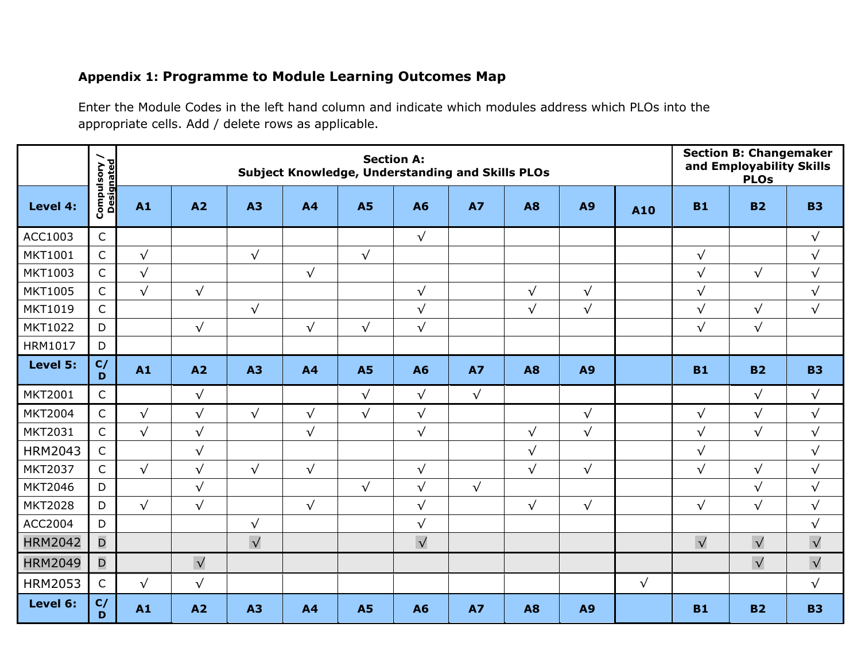# **Appendix 1: Programme to Module Learning Outcomes Map**

Enter the Module Codes in the left hand column and indicate which modules address which PLOs into the appropriate cells. Add / delete rows as applicable.

|                | ╮                          |            | <b>Section A:</b><br>Subject Knowledge, Understanding and Skills PLOs |                       |                |            |            |            |            |            |            |                       | <b>Section B: Changemaker</b><br>and Employability Skills<br><b>PLOs</b> |           |
|----------------|----------------------------|------------|-----------------------------------------------------------------------|-----------------------|----------------|------------|------------|------------|------------|------------|------------|-----------------------|--------------------------------------------------------------------------|-----------|
| Level 4:       | Compulsory /<br>Designated | A1         | A2                                                                    | <b>A3</b>             | A <sub>4</sub> | <b>A5</b>  | <b>A6</b>  | <b>A7</b>  | <b>A8</b>  | <b>A9</b>  | A10        | <b>B1</b>             | <b>B2</b>                                                                | <b>B3</b> |
| ACC1003        | $\mathsf{C}$               |            |                                                                       |                       |                |            | $\sqrt{ }$ |            |            |            |            |                       |                                                                          | $\sqrt{}$ |
| MKT1001        | $\mathsf{C}$               | $\sqrt{}$  |                                                                       | $\sqrt{}$             |                | $\sqrt{ }$ |            |            |            |            |            | $\sqrt{}$             |                                                                          | $\sqrt{}$ |
| MKT1003        | $\mathsf{C}$               | $\sqrt{}$  |                                                                       |                       | $\sqrt{ }$     |            |            |            |            |            |            | $\sqrt{}$             | $\sqrt{ }$                                                               | $\sqrt{}$ |
| <b>MKT1005</b> | $\mathsf{C}$               | $\sqrt{}$  | $\sqrt{}$                                                             |                       |                |            | $\sqrt{ }$ |            | $\sqrt{ }$ | $\sqrt{ }$ |            | $\sqrt{}$             |                                                                          | $\sqrt{}$ |
| MKT1019        | $\mathsf{C}$               |            |                                                                       | $\sqrt{}$             |                |            | $\sqrt{ }$ |            | $\sqrt{ }$ | $\sqrt{ }$ |            | $\sqrt{}$             | $\sqrt{ }$                                                               | $\sqrt{}$ |
| MKT1022        | D                          |            | $\sqrt{}$                                                             |                       | $\sqrt{}$      | $\sqrt{}$  | $\sqrt{ }$ |            |            |            |            | $\sqrt{}$             | $\sqrt{}$                                                                |           |
| HRM1017        | D                          |            |                                                                       |                       |                |            |            |            |            |            |            |                       |                                                                          |           |
| Level 5:       | C/<br>D                    | A1         | A2                                                                    | A3                    | A4             | <b>A5</b>  | <b>A6</b>  | <b>A7</b>  | <b>A8</b>  | <b>A9</b>  |            | <b>B1</b>             | <b>B2</b>                                                                | <b>B3</b> |
| <b>MKT2001</b> | $\mathsf{C}$               |            | $\sqrt{}$                                                             |                       |                | $\sqrt{ }$ | $\sqrt{ }$ | $\sqrt{ }$ |            |            |            |                       | $\sqrt{ }$                                                               | $\sqrt{}$ |
| <b>MKT2004</b> | $\mathsf{C}$               | $\sqrt{}$  | $\sqrt{}$                                                             | $\sqrt{ }$            | $\sqrt{}$      | $\sqrt{ }$ | $\sqrt{ }$ |            |            | $\sqrt{ }$ |            | $\sqrt{}$             | $\sqrt{}$                                                                | $\sqrt{}$ |
| MKT2031        | $\mathsf{C}$               | $\sqrt{}$  | $\sqrt{ }$                                                            |                       | $\sqrt{}$      |            | $\sqrt{ }$ |            | $\sqrt{}$  | $\sqrt{ }$ |            | $\sqrt{}$             | $\sqrt{}$                                                                | $\sqrt{}$ |
| <b>HRM2043</b> | $\mathsf{C}$               |            | $\sqrt{}$                                                             |                       |                |            |            |            | $\sqrt{}$  |            |            | $\sqrt{}$             |                                                                          | $\sqrt{}$ |
| MKT2037        | $\mathsf{C}$               | $\sqrt{}$  | $\sqrt{}$                                                             | $\sqrt{}$             | $\sqrt{}$      |            | $\sqrt{ }$ |            | $\sqrt{ }$ | $\sqrt{ }$ |            | $\sqrt{}$             | $\sqrt{}$                                                                | $\sqrt{}$ |
| <b>MKT2046</b> | D                          |            | $\sqrt{}$                                                             |                       |                | $\sqrt{ }$ | $\sqrt{ }$ | $\sqrt{ }$ |            |            |            |                       | $\sqrt{}$                                                                | $\sqrt{}$ |
| <b>MKT2028</b> | D                          | $\sqrt{}$  | $\sqrt{}$                                                             |                       | $\sqrt{ }$     |            | $\sqrt{ }$ |            | $\sqrt{ }$ | $\sqrt{ }$ |            | $\sqrt{}$             | $\sqrt{}$                                                                | $\sqrt{}$ |
| ACC2004        | D                          |            |                                                                       | $\sqrt{}$             |                |            | $\sqrt{}$  |            |            |            |            |                       |                                                                          | $\sqrt{}$ |
| <b>HRM2042</b> | $\mathsf{D}$               |            |                                                                       | $\overline{\sqrt{ }}$ |                |            | $\sqrt{}$  |            |            |            |            | $\overline{\sqrt{ }}$ | $\sqrt{}$                                                                | $\sqrt{}$ |
| <b>HRM2049</b> | D                          |            | $\sqrt{}$                                                             |                       |                |            |            |            |            |            |            |                       | $\sqrt{}$                                                                | $\sqrt{}$ |
| <b>HRM2053</b> | $\mathsf C$                | $\sqrt{ }$ | $\sqrt{}$                                                             |                       |                |            |            |            |            |            | $\sqrt{ }$ |                       |                                                                          | $\sqrt{}$ |
| Level 6:       | C/<br>D                    | A1         | A2                                                                    | <b>A3</b>             | A <sub>4</sub> | <b>A5</b>  | <b>A6</b>  | <b>A7</b>  | <b>A8</b>  | <b>A9</b>  |            | <b>B1</b>             | <b>B2</b>                                                                | <b>B3</b> |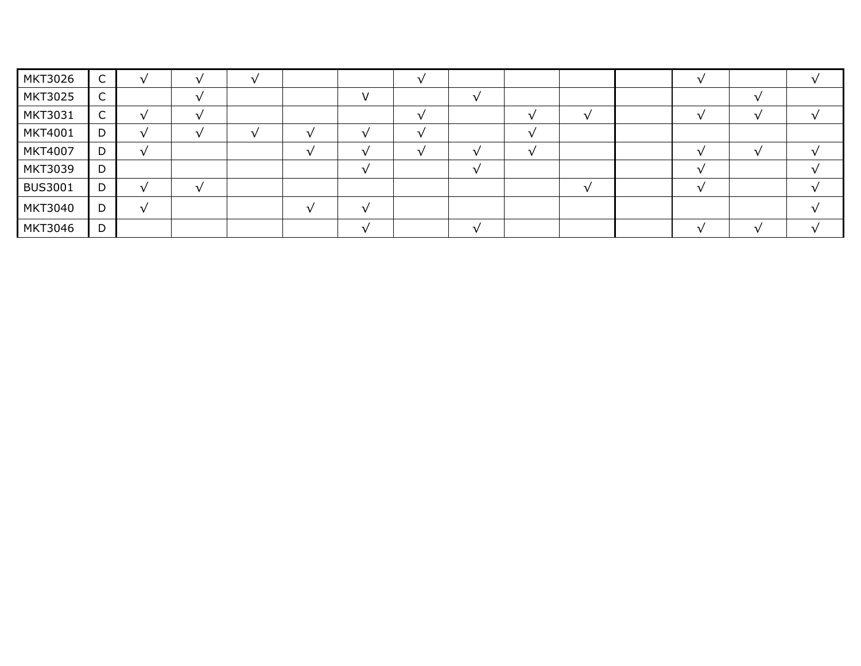| MKT3026        | $\sqrt{2}$<br>◡ |                          |  |               |  |  |  |  |
|----------------|-----------------|--------------------------|--|---------------|--|--|--|--|
| <b>MKT3025</b> | $\sqrt{2}$<br>◡ |                          |  | $\mathcal{L}$ |  |  |  |  |
| MKT3031        | $\sqrt{ }$<br>◡ | л.                       |  |               |  |  |  |  |
| MKT4001        | D               | -                        |  |               |  |  |  |  |
| MKT4007        | D               |                          |  |               |  |  |  |  |
| <b>MKT3039</b> | D               |                          |  |               |  |  |  |  |
| <b>BUS3001</b> | D               | $\overline{\phantom{a}}$ |  |               |  |  |  |  |
| <b>MKT3040</b> | D               |                          |  |               |  |  |  |  |
| <b>MKT3046</b> | D               |                          |  |               |  |  |  |  |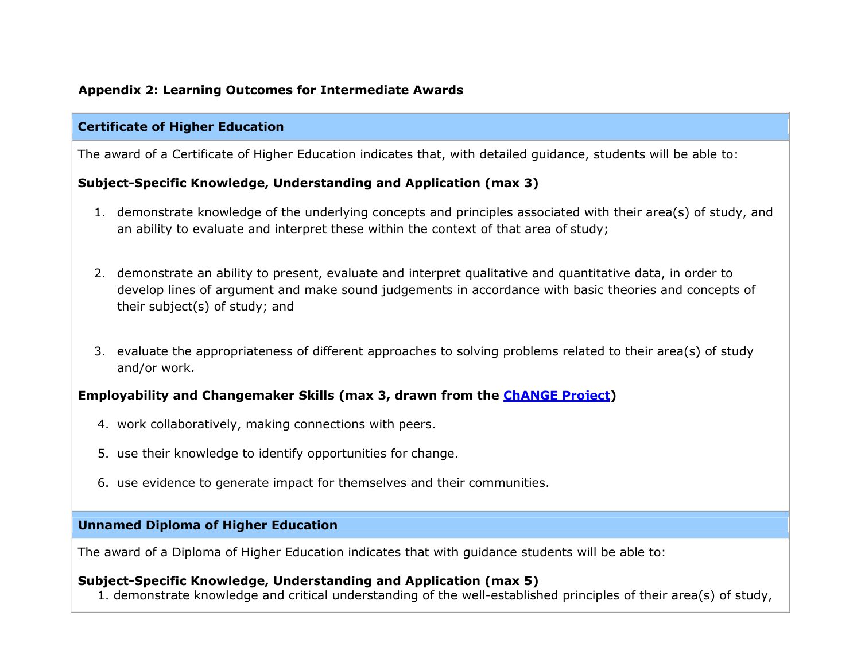# **Appendix 2: Learning Outcomes for Intermediate Awards**

#### **Certificate of Higher Education**

The award of a Certificate of Higher Education indicates that, with detailed guidance, students will be able to:

#### **Subject-Specific Knowledge, Understanding and Application (max 3)**

- 1. demonstrate knowledge of the underlying concepts and principles associated with their area(s) of study, and an ability to evaluate and interpret these within the context of that area of study;
- 2. demonstrate an ability to present, evaluate and interpret qualitative and quantitative data, in order to develop lines of argument and make sound judgements in accordance with basic theories and concepts of their subject(s) of study; and
- 3. evaluate the appropriateness of different approaches to solving problems related to their area(s) of study and/or work.

# **Employability and Changemaker Skills (max 3, drawn from the [ChANGE Project\)](https://www.northampton.ac.uk/ilt/current-projects/change/)**

- 4. work collaboratively, making connections with peers.
- 5. use their knowledge to identify opportunities for change.
- 6. use evidence to generate impact for themselves and their communities.

# **Unnamed Diploma of Higher Education**

The award of a Diploma of Higher Education indicates that with guidance students will be able to:

# **Subject-Specific Knowledge, Understanding and Application (max 5)**

1. demonstrate knowledge and critical understanding of the well-established principles of their area(s) of study,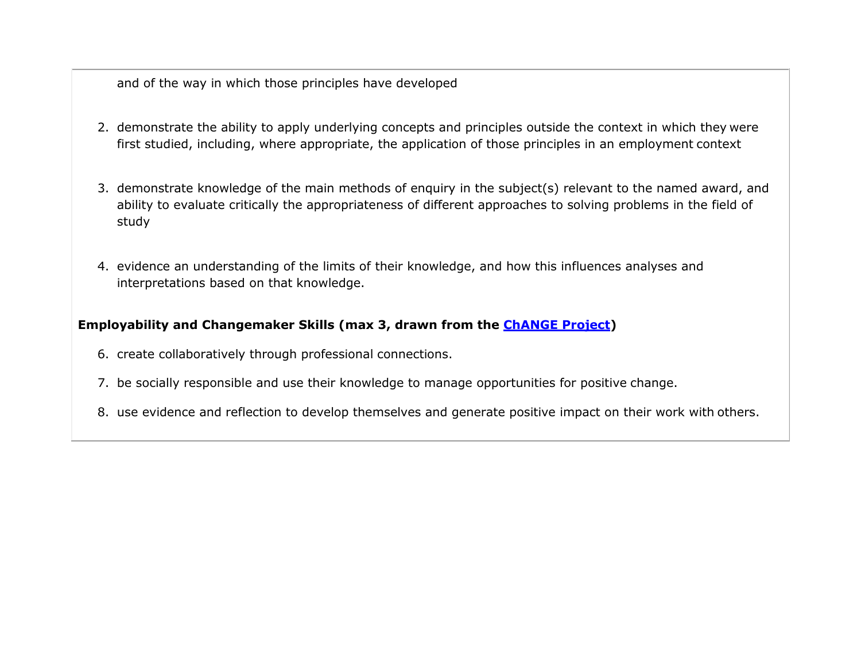and of the way in which those principles have developed

- 2. demonstrate the ability to apply underlying concepts and principles outside the context in which they were first studied, including, where appropriate, the application of those principles in an employment context
- 3. demonstrate knowledge of the main methods of enquiry in the subject(s) relevant to the named award, and ability to evaluate critically the appropriateness of different approaches to solving problems in the field of study
- 4. evidence an understanding of the limits of their knowledge, and how this influences analyses and interpretations based on that knowledge.

# **Employability and Changemaker Skills (max 3, drawn from the [ChANGE Project\)](https://www.northampton.ac.uk/ilt/current-projects/change/)**

- 6. create collaboratively through professional connections.
- 7. be socially responsible and use their knowledge to manage opportunities for positive change.
- 8. use evidence and reflection to develop themselves and generate positive impact on their work with others.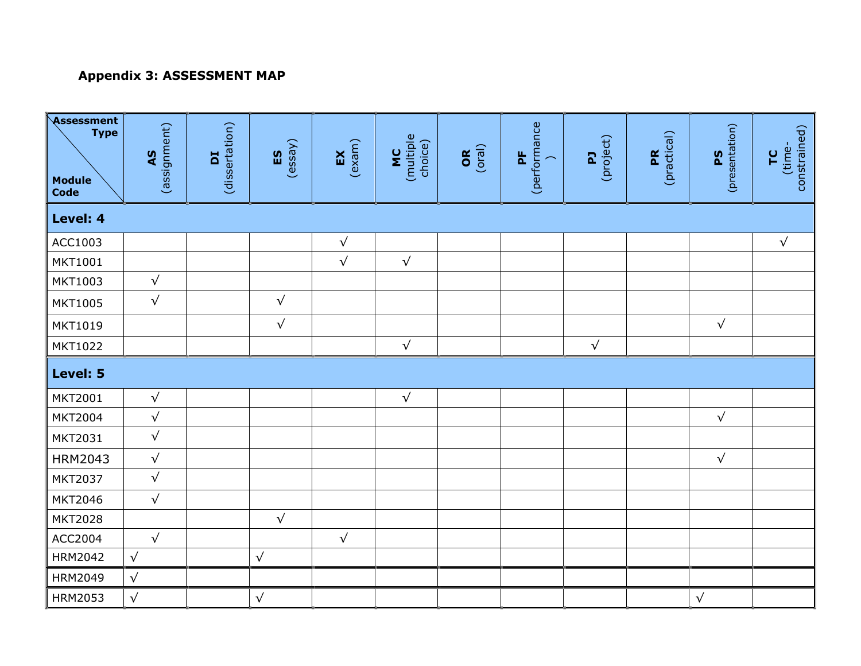# **Appendix 3: ASSESSMENT MAP**

| Assessment<br><b>Type</b><br><b>Module</b><br>Code | (assignment)<br><b>AS</b> | (dissertation)<br>Ed | (essy)<br>ES | (exam)<br>$\mathbf{K}$ | (multiple<br>choice)<br><b>DE</b> | (oral)<br><b>OR</b> | (performance<br>$\mathbf{h}$<br>$\overline{\phantom{0}}$ | (project)<br>$\mathbf{z}$ | (practical)<br>PR | (presentation)<br><b>PS</b> | constrained)<br>(time-<br>FC |
|----------------------------------------------------|---------------------------|----------------------|--------------|------------------------|-----------------------------------|---------------------|----------------------------------------------------------|---------------------------|-------------------|-----------------------------|------------------------------|
| Level: 4                                           |                           |                      |              |                        |                                   |                     |                                                          |                           |                   |                             |                              |
| ACC1003                                            |                           |                      |              | $\sqrt{}$              |                                   |                     |                                                          |                           |                   |                             | $\sqrt{}$                    |
| MKT1001                                            |                           |                      |              | $\sqrt{ }$             | $\sqrt{ }$                        |                     |                                                          |                           |                   |                             |                              |
| MKT1003                                            | $\sqrt{}$                 |                      |              |                        |                                   |                     |                                                          |                           |                   |                             |                              |
| <b>MKT1005</b>                                     | $\sqrt{ }$                |                      | $\sqrt{}$    |                        |                                   |                     |                                                          |                           |                   |                             |                              |
| MKT1019                                            |                           |                      | $\sqrt{}$    |                        |                                   |                     |                                                          |                           |                   | $\sqrt{ }$                  |                              |
| <b>MKT1022</b>                                     |                           |                      |              |                        | $\sqrt{ }$                        |                     |                                                          | $\sqrt{}$                 |                   |                             |                              |
| Level: 5                                           |                           |                      |              |                        |                                   |                     |                                                          |                           |                   |                             |                              |
| <b>MKT2001</b>                                     | $\sqrt{ }$                |                      |              |                        | $\sqrt{ }$                        |                     |                                                          |                           |                   |                             |                              |
| <b>MKT2004</b>                                     | $\sqrt{}$                 |                      |              |                        |                                   |                     |                                                          |                           |                   | $\sqrt{}$                   |                              |
| MKT2031                                            | $\sqrt{ }$                |                      |              |                        |                                   |                     |                                                          |                           |                   |                             |                              |
| <b>HRM2043</b>                                     | $\sqrt{}$                 |                      |              |                        |                                   |                     |                                                          |                           |                   | $\sqrt{ }$                  |                              |
| MKT2037                                            | $\sqrt{}$                 |                      |              |                        |                                   |                     |                                                          |                           |                   |                             |                              |
| MKT2046                                            | $\sqrt{}$                 |                      |              |                        |                                   |                     |                                                          |                           |                   |                             |                              |
| <b>MKT2028</b>                                     |                           |                      | $\sqrt{}$    |                        |                                   |                     |                                                          |                           |                   |                             |                              |
| ACC2004                                            | $\sqrt{}$                 |                      |              | $\sqrt{}$              |                                   |                     |                                                          |                           |                   |                             |                              |
| <b>HRM2042</b>                                     | $\sqrt{}$                 |                      | $\sqrt{}$    |                        |                                   |                     |                                                          |                           |                   |                             |                              |
| <b>HRM2049</b>                                     | $\sqrt{}$                 |                      |              |                        |                                   |                     |                                                          |                           |                   |                             |                              |
| <b>HRM2053</b>                                     | $\sqrt{}$                 |                      | $\sqrt{}$    |                        |                                   |                     |                                                          |                           |                   | $\sqrt{}$                   |                              |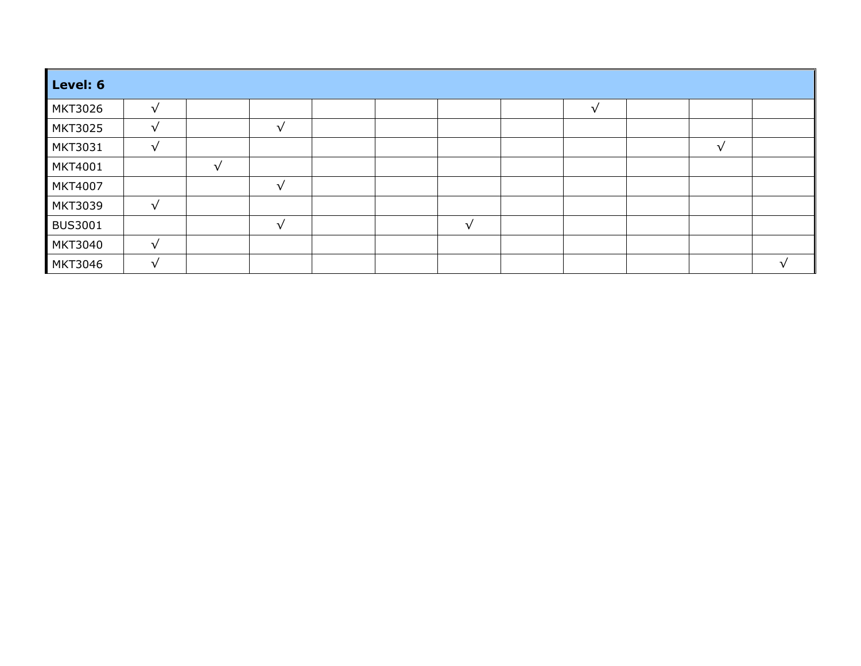| Level: 6       |            |               |               |  |  |  |  |  |  |  |
|----------------|------------|---------------|---------------|--|--|--|--|--|--|--|
| <b>MKT3026</b> | $\sqrt{ }$ |               |               |  |  |  |  |  |  |  |
| MKT3025        | $\sqrt{ }$ |               | $\sqrt{ }$    |  |  |  |  |  |  |  |
| <b>MKT3031</b> | $\sqrt{ }$ |               |               |  |  |  |  |  |  |  |
| MKT4001        |            | $\mathcal{L}$ |               |  |  |  |  |  |  |  |
| <b>MKT4007</b> |            |               | $\mathcal{L}$ |  |  |  |  |  |  |  |
| <b>MKT3039</b> | √          |               |               |  |  |  |  |  |  |  |
| <b>BUS3001</b> |            |               | $\lceil$      |  |  |  |  |  |  |  |
| <b>MKT3040</b> | $\sqrt{ }$ |               |               |  |  |  |  |  |  |  |
| <b>MKT3046</b> | $\sqrt{ }$ |               |               |  |  |  |  |  |  |  |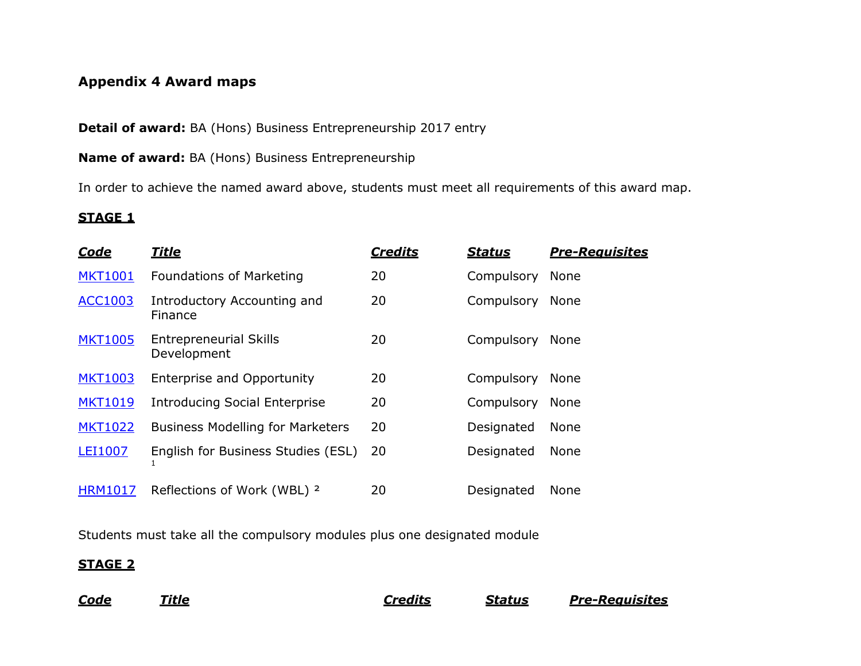# **Appendix 4 Award maps**

**Detail of award:** BA (Hons) Business Entrepreneurship 2017 entry

**Name of award:** BA (Hons) Business Entrepreneurship

In order to achieve the named award above, students must meet all requirements of this award map.

# **STAGE 1**

| <u>Code</u>    | <u>Title</u>                                 | <b>Credits</b> | <b>Status</b> | <b>Pre-Reauisites</b> |
|----------------|----------------------------------------------|----------------|---------------|-----------------------|
| <b>MKT1001</b> | <b>Foundations of Marketing</b>              | 20             | Compulsory    | None                  |
| <b>ACC1003</b> | Introductory Accounting and<br>Finance       | 20             | Compulsory    | None                  |
| <b>MKT1005</b> | <b>Entrepreneurial Skills</b><br>Development | 20             | Compulsory    | None                  |
| <b>MKT1003</b> | Enterprise and Opportunity                   | 20             | Compulsory    | None                  |
| <b>MKT1019</b> | <b>Introducing Social Enterprise</b>         | 20             | Compulsory    | None                  |
| <b>MKT1022</b> | <b>Business Modelling for Marketers</b>      | 20             | Designated    | None                  |
| LEI1007        | English for Business Studies (ESL)           | 20             | Designated    | None                  |
| <b>HRM1017</b> | Reflections of Work (WBL) <sup>2</sup>       | 20             | Designated    | <b>None</b>           |

Students must take all the compulsory modules plus one designated module

# **STAGE 2**

*Code Title Credits Status Pre-Requisites*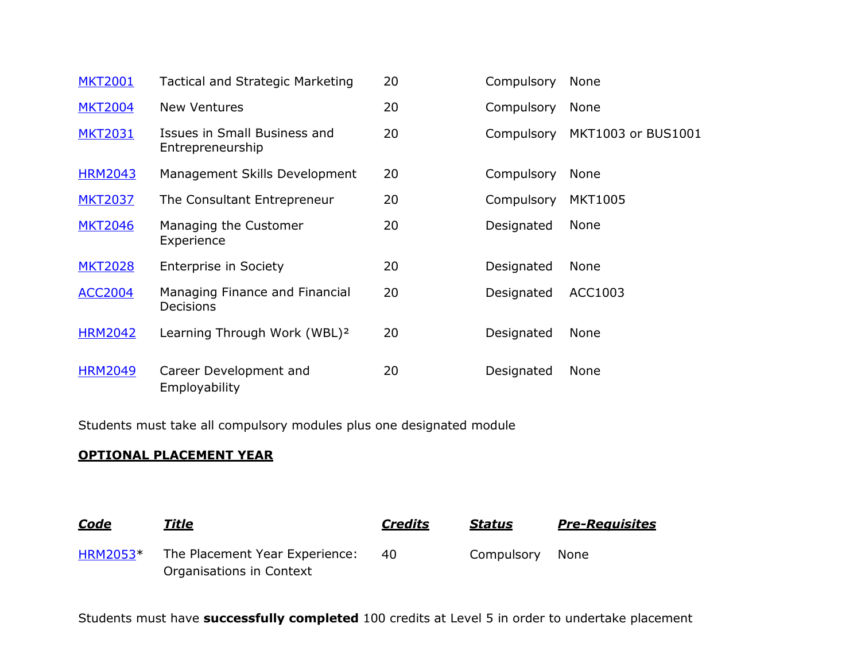| <b>MKT2001</b> | Tactical and Strategic Marketing                   | 20 | Compulsory | None               |
|----------------|----------------------------------------------------|----|------------|--------------------|
| <b>MKT2004</b> | <b>New Ventures</b>                                | 20 | Compulsory | None               |
| <b>MKT2031</b> | Issues in Small Business and<br>Entrepreneurship   | 20 | Compulsory | MKT1003 or BUS1001 |
| <b>HRM2043</b> | Management Skills Development                      | 20 | Compulsory | None               |
| <b>MKT2037</b> | The Consultant Entrepreneur                        | 20 | Compulsory | <b>MKT1005</b>     |
| <b>MKT2046</b> | Managing the Customer<br>Experience                | 20 | Designated | None               |
| <b>MKT2028</b> | <b>Enterprise in Society</b>                       | 20 | Designated | None               |
| <b>ACC2004</b> | Managing Finance and Financial<br><b>Decisions</b> | 20 | Designated | ACC1003            |
| <b>HRM2042</b> | Learning Through Work (WBL) <sup>2</sup>           | 20 | Designated | None               |
| <b>HRM2049</b> | Career Development and<br>Employability            | 20 | Designated | None               |

Students must take all compulsory modules plus one designated module

# **OPTIONAL PLACEMENT YEAR**

| Code            | Title                          | <b>Credits</b> | Status     | <b>Pre-Reauisites</b> |
|-----------------|--------------------------------|----------------|------------|-----------------------|
| <b>HRM2053*</b> | The Placement Year Experience: | 40             | Compulsory | None                  |
|                 | Organisations in Context       |                |            |                       |

Students must have **successfully completed** 100 credits at Level 5 in order to undertake placement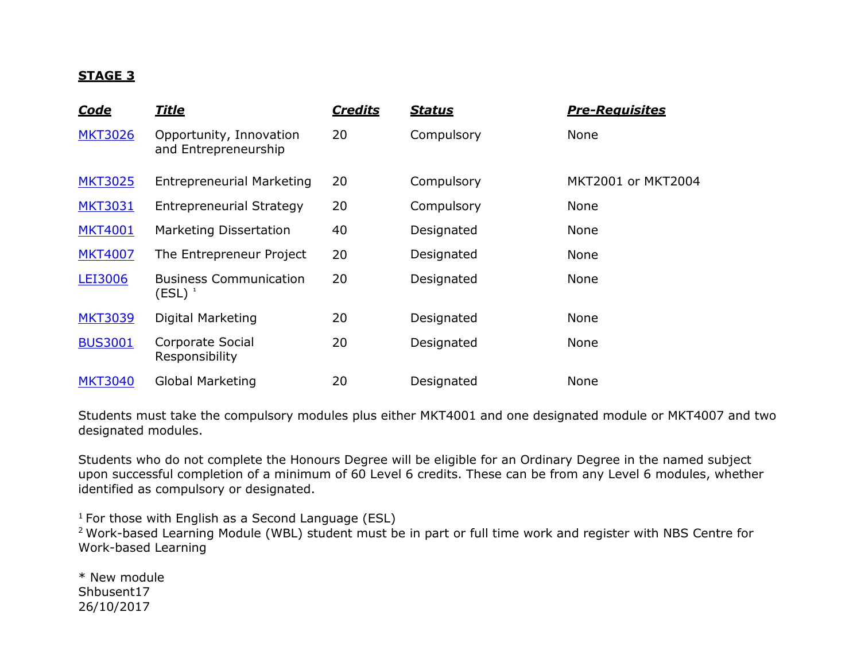# **STAGE 3**

| Code           | <b>Title</b>                                    | <b>Credits</b> | <u>Status</u> | <b>Pre-Reauisites</b> |
|----------------|-------------------------------------------------|----------------|---------------|-----------------------|
| <b>MKT3026</b> | Opportunity, Innovation<br>and Entrepreneurship | 20             | Compulsory    | None                  |
| <b>MKT3025</b> | <b>Entrepreneurial Marketing</b>                | 20             | Compulsory    | MKT2001 or MKT2004    |
| <b>MKT3031</b> | <b>Entrepreneurial Strategy</b>                 | 20             | Compulsory    | None                  |
| <b>MKT4001</b> | <b>Marketing Dissertation</b>                   | 40             | Designated    | None                  |
| <b>MKT4007</b> | The Entrepreneur Project                        | 20             | Designated    | None                  |
| LEI3006        | <b>Business Communication</b><br>$(ESL)^{-1}$   | 20             | Designated    | <b>None</b>           |
| <b>MKT3039</b> | Digital Marketing                               | 20             | Designated    | None                  |
| <b>BUS3001</b> | Corporate Social<br>Responsibility              | 20             | Designated    | None                  |
| <b>MKT3040</b> | <b>Global Marketing</b>                         | 20             | Designated    | None                  |

Students must take the compulsory modules plus either MKT4001 and one designated module or MKT4007 and two designated modules.

Students who do not complete the Honours Degree will be eligible for an Ordinary Degree in the named subject upon successful completion of a minimum of 60 Level 6 credits. These can be from any Level 6 modules, whether identified as compulsory or designated.

 $1$  For those with English as a Second Language (ESL)

<sup>2</sup> Work-based Learning Module (WBL) student must be in part or full time work and register with NBS Centre for Work-based Learning

\* New module Shbusent17 26/10/2017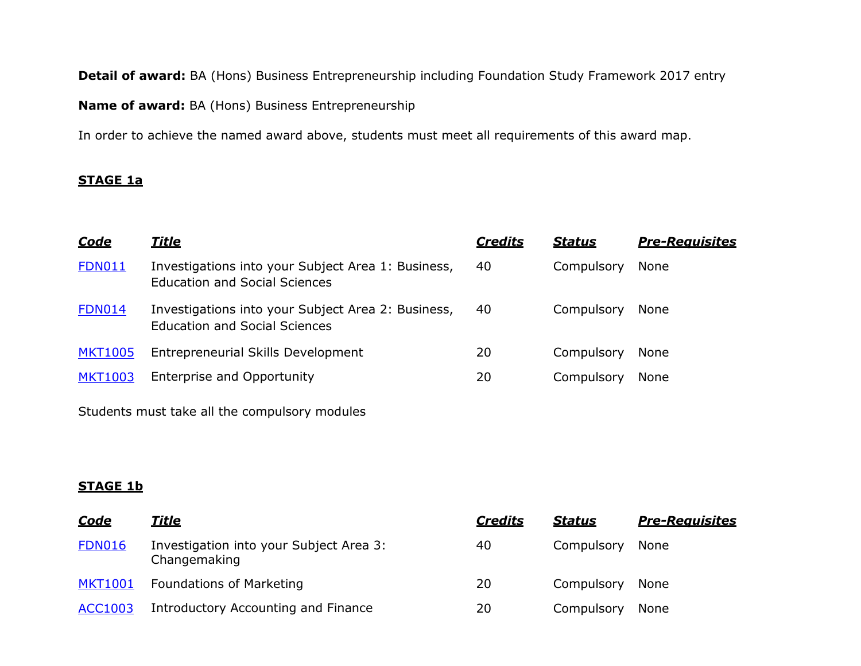**Detail of award:** BA (Hons) Business Entrepreneurship including Foundation Study Framework 2017 entry

**Name of award:** BA (Hons) Business Entrepreneurship

In order to achieve the named award above, students must meet all requirements of this award map.

# **STAGE 1a**

| <u>Code</u>    | <u>Title</u>                                                                               | <b>Credits</b> | <b>Status</b> | <b>Pre-Requisites</b> |
|----------------|--------------------------------------------------------------------------------------------|----------------|---------------|-----------------------|
| <b>FDN011</b>  | Investigations into your Subject Area 1: Business,<br><b>Education and Social Sciences</b> | 40             | Compulsory    | None                  |
| <b>FDN014</b>  | Investigations into your Subject Area 2: Business,<br><b>Education and Social Sciences</b> | 40             | Compulsory    | None                  |
| <b>MKT1005</b> | <b>Entrepreneurial Skills Development</b>                                                  | 20             | Compulsory    | None                  |
| <b>MKT1003</b> | Enterprise and Opportunity                                                                 | 20             | Compulsory    | None                  |

Students must take all the compulsory modules

# **STAGE 1b**

| <u>Code</u>    | <u>Title</u>                                            | <b>Credits</b> | <b>Status</b> | <b>Pre-Reauisites</b> |
|----------------|---------------------------------------------------------|----------------|---------------|-----------------------|
| <b>FDN016</b>  | Investigation into your Subject Area 3:<br>Changemaking | 40             | Compulsory    | None                  |
| <b>MKT1001</b> | Foundations of Marketing                                | 20             | Compulsory    | None                  |
| <b>ACC1003</b> | Introductory Accounting and Finance                     | 20             | Compulsory    | None                  |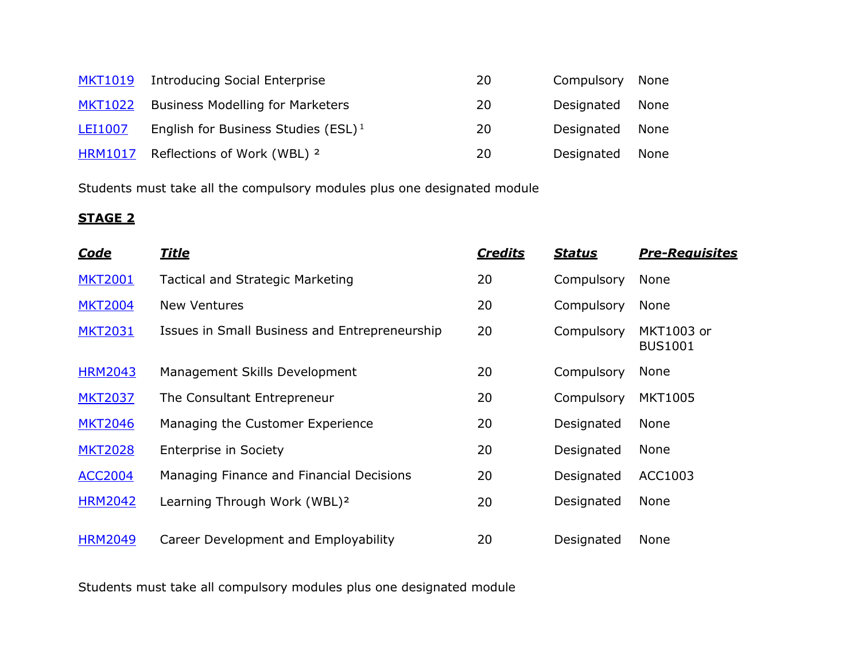| <b>MKT1019</b> | <b>Introducing Social Enterprise</b>            | 20 | Compulsory | None |
|----------------|-------------------------------------------------|----|------------|------|
| <b>MKT1022</b> | <b>Business Modelling for Marketers</b>         | 20 | Designated | None |
| <b>LEI1007</b> | English for Business Studies (ESL) <sup>1</sup> | 20 | Designated | None |
| <b>HRM1017</b> | Reflections of Work (WBL) <sup>2</sup>          | 20 | Designated | None |

Students must take all the compulsory modules plus one designated module

# **STAGE 2**

| <u>Code</u>    | <u>Title</u>                                  | <b>Credits</b> | <b>Status</b> | <b>Pre-Reauisites</b>        |
|----------------|-----------------------------------------------|----------------|---------------|------------------------------|
| <b>MKT2001</b> | <b>Tactical and Strategic Marketing</b>       | 20             | Compulsory    | None                         |
| <b>MKT2004</b> | <b>New Ventures</b>                           | 20             | Compulsory    | None                         |
| <b>MKT2031</b> | Issues in Small Business and Entrepreneurship | 20             | Compulsory    | MKT1003 or<br><b>BUS1001</b> |
| <b>HRM2043</b> | Management Skills Development                 | 20             | Compulsory    | None                         |
| <b>MKT2037</b> | The Consultant Entrepreneur                   | 20             | Compulsory    | <b>MKT1005</b>               |
| <b>MKT2046</b> | Managing the Customer Experience              | 20             | Designated    | <b>None</b>                  |
| <b>MKT2028</b> | <b>Enterprise in Society</b>                  | 20             | Designated    | None                         |
| <b>ACC2004</b> | Managing Finance and Financial Decisions      | 20             | Designated    | ACC1003                      |
| <b>HRM2042</b> | Learning Through Work (WBL) <sup>2</sup>      | 20             | Designated    | <b>None</b>                  |
| <b>HRM2049</b> | Career Development and Employability          | 20             | Designated    | None                         |

Students must take all compulsory modules plus one designated module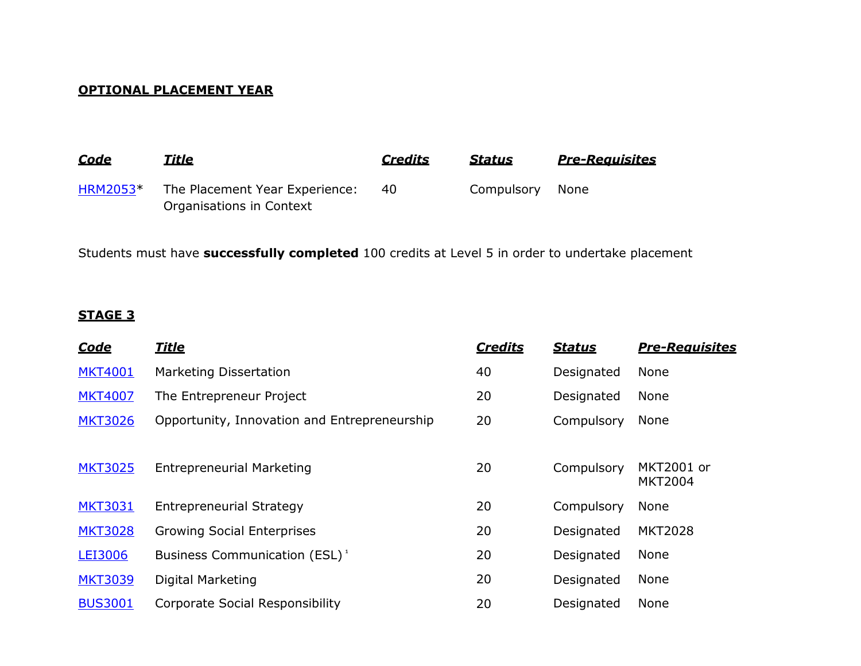# **OPTIONAL PLACEMENT YEAR**

| <u>Code</u>     | <b>Title</b>                                               | <b>Credits</b> | <b>Status</b> | <b>Pre-Requisites</b> |
|-----------------|------------------------------------------------------------|----------------|---------------|-----------------------|
| <b>HRM2053*</b> | The Placement Year Experience:<br>Organisations in Context | 40             | Compulsory    | None                  |

Students must have **successfully completed** 100 credits at Level 5 in order to undertake placement

# **STAGE 3**

| <u>Code</u>    | <b>Title</b>                                 | <b>Credits</b> | <b>Status</b> | <b>Pre-Reauisites</b>        |
|----------------|----------------------------------------------|----------------|---------------|------------------------------|
| <b>MKT4001</b> | <b>Marketing Dissertation</b>                | 40             | Designated    | None                         |
| <b>MKT4007</b> | The Entrepreneur Project                     | 20             | Designated    | None                         |
| <b>MKT3026</b> | Opportunity, Innovation and Entrepreneurship | 20             | Compulsory    | None                         |
|                |                                              |                |               |                              |
| <b>MKT3025</b> | <b>Entrepreneurial Marketing</b>             | 20             | Compulsory    | MKT2001 or<br><b>MKT2004</b> |
| <b>MKT3031</b> | <b>Entrepreneurial Strategy</b>              | 20             | Compulsory    | None                         |
| <b>MKT3028</b> | <b>Growing Social Enterprises</b>            | 20             | Designated    | <b>MKT2028</b>               |
| <b>LEI3006</b> | Business Communication (ESL) <sup>1</sup>    | 20             | Designated    | None                         |
| <b>MKT3039</b> | Digital Marketing                            | 20             | Designated    | None                         |
| <b>BUS3001</b> | Corporate Social Responsibility              | 20             | Designated    | None                         |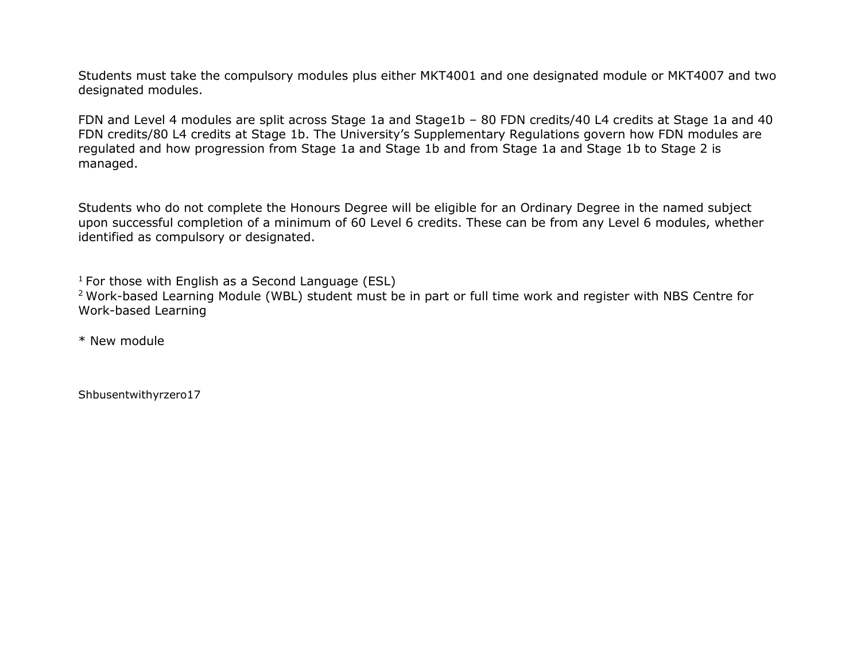Students must take the compulsory modules plus either MKT4001 and one designated module or MKT4007 and two designated modules.

FDN and Level 4 modules are split across Stage 1a and Stage1b – 80 FDN credits/40 L4 credits at Stage 1a and 40 FDN credits/80 L4 credits at Stage 1b. The University's Supplementary Regulations govern how FDN modules are regulated and how progression from Stage 1a and Stage 1b and from Stage 1a and Stage 1b to Stage 2 is managed.

Students who do not complete the Honours Degree will be eligible for an Ordinary Degree in the named subject upon successful completion of a minimum of 60 Level 6 credits. These can be from any Level 6 modules, whether identified as compulsory or designated.

 $1$  For those with English as a Second Language (ESL)

<sup>2</sup> Work-based Learning Module (WBL) student must be in part or full time work and register with NBS Centre for Work-based Learning

\* New module

Shbusentwithyrzero17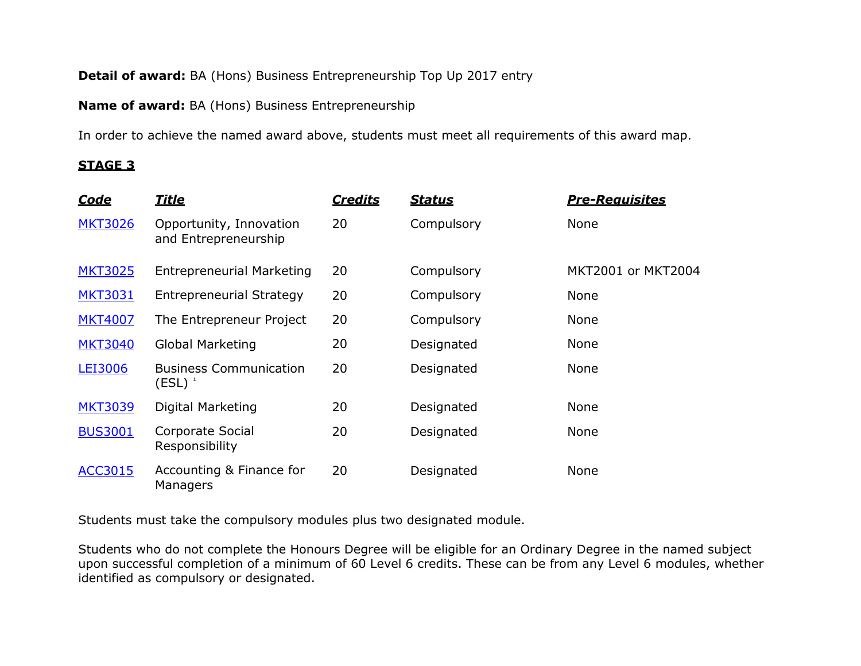# **Detail of award:** BA (Hons) Business Entrepreneurship Top Up 2017 entry

**Name of award:** BA (Hons) Business Entrepreneurship

In order to achieve the named award above, students must meet all requirements of this award map.

# **STAGE 3**

| <u>Code</u>    | <u>Title</u>                                    | <b>Credits</b> | <u>Status</u> | <b>Pre-Reauisites</b> |
|----------------|-------------------------------------------------|----------------|---------------|-----------------------|
| <b>MKT3026</b> | Opportunity, Innovation<br>and Entrepreneurship | 20             | Compulsory    | None                  |
| <b>MKT3025</b> | <b>Entrepreneurial Marketing</b>                | 20             | Compulsory    | MKT2001 or MKT2004    |
| <b>MKT3031</b> | <b>Entrepreneurial Strategy</b>                 | 20             | Compulsory    | None                  |
| <b>MKT4007</b> | The Entrepreneur Project                        | 20             | Compulsory    | None                  |
| <b>MKT3040</b> | Global Marketing                                | 20             | Designated    | <b>None</b>           |
| <b>LEI3006</b> | <b>Business Communication</b><br>(ESL) $^1$     | 20             | Designated    | <b>None</b>           |
| <b>MKT3039</b> | Digital Marketing                               | 20             | Designated    | None                  |
| <b>BUS3001</b> | Corporate Social<br>Responsibility              | 20             | Designated    | <b>None</b>           |
| <b>ACC3015</b> | Accounting & Finance for<br>Managers            | 20             | Designated    | None                  |

Students must take the compulsory modules plus two designated module.

Students who do not complete the Honours Degree will be eligible for an Ordinary Degree in the named subject upon successful completion of a minimum of 60 Level 6 credits. These can be from any Level 6 modules, whether identified as compulsory or designated.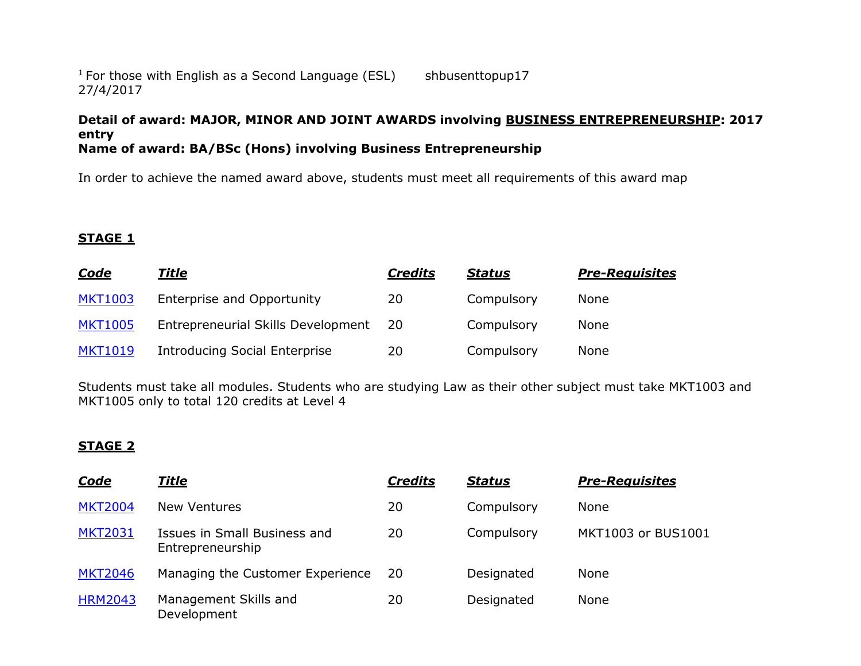#### $1$  For those with English as a Second Language (ESL) 27/4/2017 shbusenttopup17

#### **Detail of award: MAJOR, MINOR AND JOINT AWARDS involving BUSINESS ENTREPRENEURSHIP: 2017 entry Name of award: BA/BSc (Hons) involving Business Entrepreneurship**

In order to achieve the named award above, students must meet all requirements of this award map

# **STAGE 1**

| <u>Code</u>    | <u>Title</u>                         | <u>Credits</u> | <u>Status</u> | <b>Pre-Reauisites</b> |
|----------------|--------------------------------------|----------------|---------------|-----------------------|
| <b>MKT1003</b> | Enterprise and Opportunity           | 20             | Compulsory    | None                  |
| <b>MKT1005</b> | Entrepreneurial Skills Development   | -20            | Compulsory    | None                  |
| <b>MKT1019</b> | <b>Introducing Social Enterprise</b> | 20             | Compulsory    | None                  |

Students must take all modules. Students who are studying Law as their other subject must take MKT1003 and MKT1005 only to total 120 credits at Level 4

# **STAGE 2**

| <b>Code</b>    | <u>Title</u>                                     | <b>Credits</b> | <b>Status</b> | <b>Pre-Reauisites</b> |
|----------------|--------------------------------------------------|----------------|---------------|-----------------------|
| <b>MKT2004</b> | <b>New Ventures</b>                              | 20             | Compulsory    | <b>None</b>           |
| <b>MKT2031</b> | Issues in Small Business and<br>Entrepreneurship | 20             | Compulsory    | MKT1003 or BUS1001    |
| <b>MKT2046</b> | Managing the Customer Experience                 | <b>20</b>      | Designated    | <b>None</b>           |
| <b>HRM2043</b> | Management Skills and<br>Development             | 20             | Designated    | <b>None</b>           |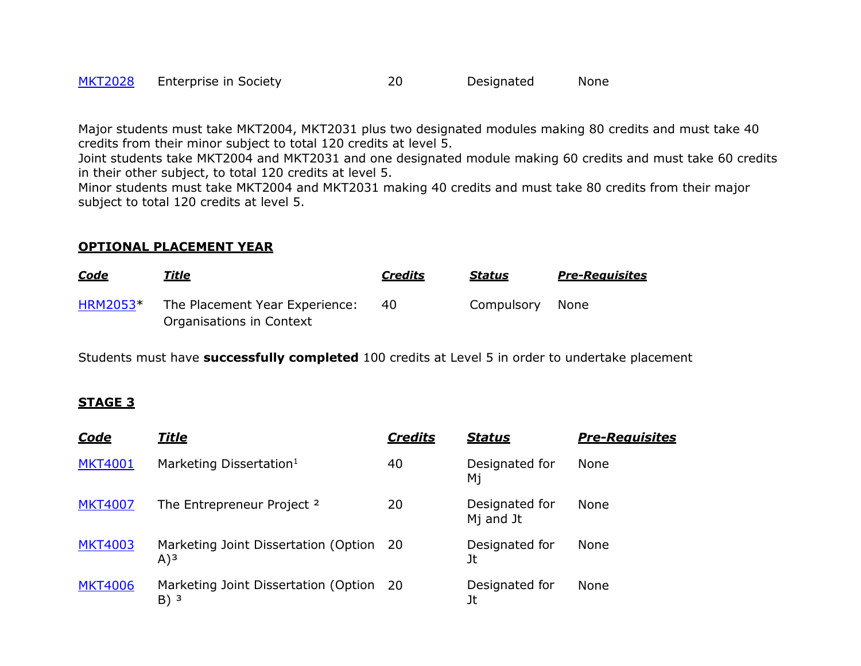| <b>MKT2028</b> | Enterprise in Society | Designated | None |
|----------------|-----------------------|------------|------|
|                |                       |            |      |

Major students must take MKT2004, MKT2031 plus two designated modules making 80 credits and must take 40 credits from their minor subject to total 120 credits at level 5.

Joint students take MKT2004 and MKT2031 and one designated module making 60 credits and must take 60 credits in their other subject, to total 120 credits at level 5.

Minor students must take MKT2004 and MKT2031 making 40 credits and must take 80 credits from their major subject to total 120 credits at level 5.

#### **OPTIONAL PLACEMENT YEAR**

| <u>Code</u> | Title                          | <b>Credits</b> | <b>Status</b> | <b>Pre-Reauisites</b> |
|-------------|--------------------------------|----------------|---------------|-----------------------|
| HRM2053*    | The Placement Year Experience: | 40             | Compulsory    | None                  |
|             | Organisations in Context       |                |               |                       |

Students must have **successfully completed** 100 credits at Level 5 in order to undertake placement

# **STAGE 3**

| <b>Code</b>    | <u>Title</u>                                                 | <b>Credits</b> | <b>Status</b>                           | <b>Pre-Reauisites</b> |
|----------------|--------------------------------------------------------------|----------------|-----------------------------------------|-----------------------|
| <b>MKT4001</b> | Marketing Dissertation <sup>1</sup>                          | 40             | Designated for<br>Мj                    | None                  |
| <b>MKT4007</b> | The Entrepreneur Project <sup>2</sup>                        | 20             | Designated for<br>M <sub>j</sub> and Jt | None                  |
| <b>MKT4003</b> | Marketing Joint Dissertation (Option 20<br>(A) <sup>3</sup>  |                | Designated for<br>Jt                    | None                  |
| <b>MKT4006</b> | Marketing Joint Dissertation (Option 20<br>$B)$ <sup>3</sup> |                | Designated for<br>Jt                    | None                  |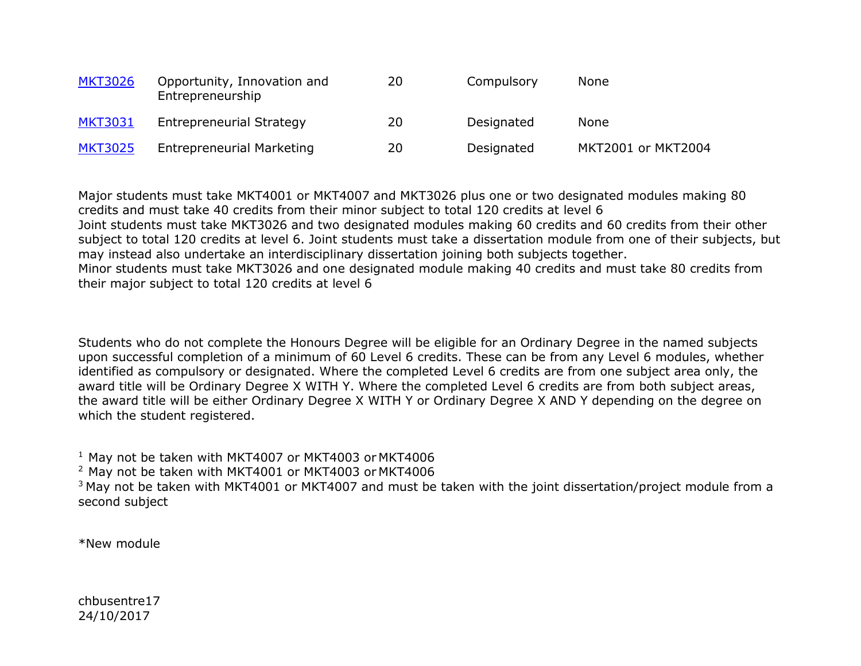| <b>MKT3026</b> | Opportunity, Innovation and<br>Entrepreneurship | 20 | Compulsory | <b>None</b>        |
|----------------|-------------------------------------------------|----|------------|--------------------|
| <b>MKT3031</b> | Entrepreneurial Strategy                        | 20 | Designated | <b>None</b>        |
| <b>MKT3025</b> | <b>Entrepreneurial Marketing</b>                | 20 | Designated | MKT2001 or MKT2004 |

Major students must take MKT4001 or MKT4007 and MKT3026 plus one or two designated modules making 80 credits and must take 40 credits from their minor subject to total 120 credits at level 6 Joint students must take MKT3026 and two designated modules making 60 credits and 60 credits from their other subject to total 120 credits at level 6. Joint students must take a dissertation module from one of their subjects, but may instead also undertake an interdisciplinary dissertation joining both subjects together. Minor students must take MKT3026 and one designated module making 40 credits and must take 80 credits from their major subject to total 120 credits at level 6

Students who do not complete the Honours Degree will be eligible for an Ordinary Degree in the named subjects upon successful completion of a minimum of 60 Level 6 credits. These can be from any Level 6 modules, whether identified as compulsory or designated. Where the completed Level 6 credits are from one subject area only, the award title will be Ordinary Degree X WITH Y. Where the completed Level 6 credits are from both subject areas, the award title will be either Ordinary Degree X WITH Y or Ordinary Degree X AND Y depending on the degree on which the student registered.

<sup>1</sup> May not be taken with MKT4007 or MKT4003 or MKT4006

<sup>2</sup> May not be taken with MKT4001 or MKT4003 or MKT4006

<sup>3</sup> May not be taken with MKT4001 or MKT4007 and must be taken with the joint dissertation/project module from a second subject

\*New module

chbusentre17 24/10/2017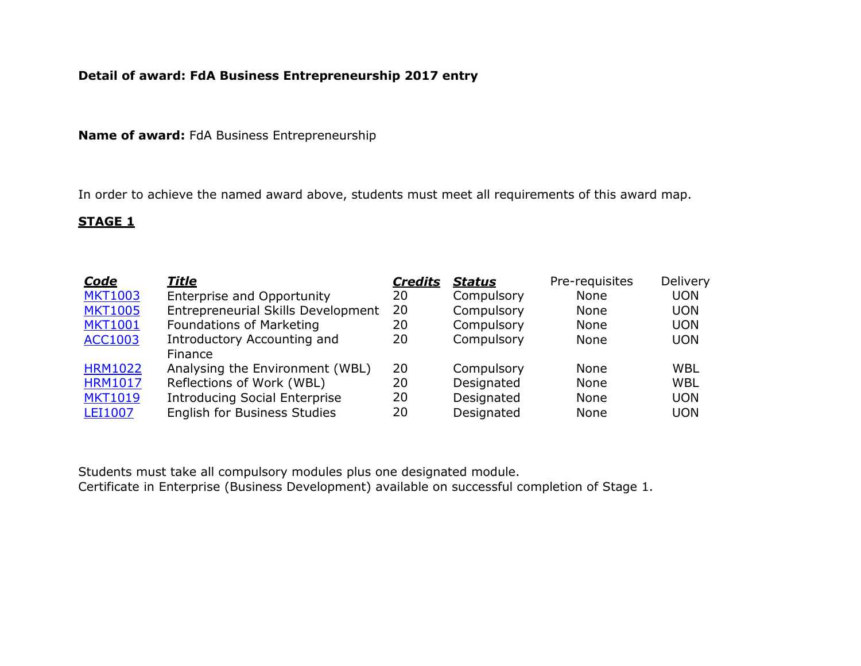# **Detail of award: FdA Business Entrepreneurship 2017 entry**

**Name of award:** FdA Business Entrepreneurship

In order to achieve the named award above, students must meet all requirements of this award map.

# **STAGE 1**

| <u>Code</u>    | <u>Title</u>                         | <b>Credits</b> | <b>Status</b> | Pre-requisites | Delivery   |
|----------------|--------------------------------------|----------------|---------------|----------------|------------|
| <b>MKT1003</b> | Enterprise and Opportunity           | 20             | Compulsory    | None           | <b>UON</b> |
| <b>MKT1005</b> | Entrepreneurial Skills Development   | 20             | Compulsory    | None           | <b>UON</b> |
| <b>MKT1001</b> | <b>Foundations of Marketing</b>      | 20             | Compulsory    | None           | <b>UON</b> |
| <b>ACC1003</b> | Introductory Accounting and          | 20             | Compulsory    | None           | <b>UON</b> |
|                | Finance                              |                |               |                |            |
| <b>HRM1022</b> | Analysing the Environment (WBL)      | 20             | Compulsory    | None           | <b>WBL</b> |
| <b>HRM1017</b> | Reflections of Work (WBL)            | 20             | Designated    | None           | <b>WBL</b> |
| <b>MKT1019</b> | <b>Introducing Social Enterprise</b> | 20             | Designated    | None           | <b>UON</b> |
| <b>LEI1007</b> | English for Business Studies         | 20             | Designated    | None           | <b>UON</b> |

Students must take all compulsory modules plus one designated module. Certificate in Enterprise (Business Development) available on successful completion of Stage 1.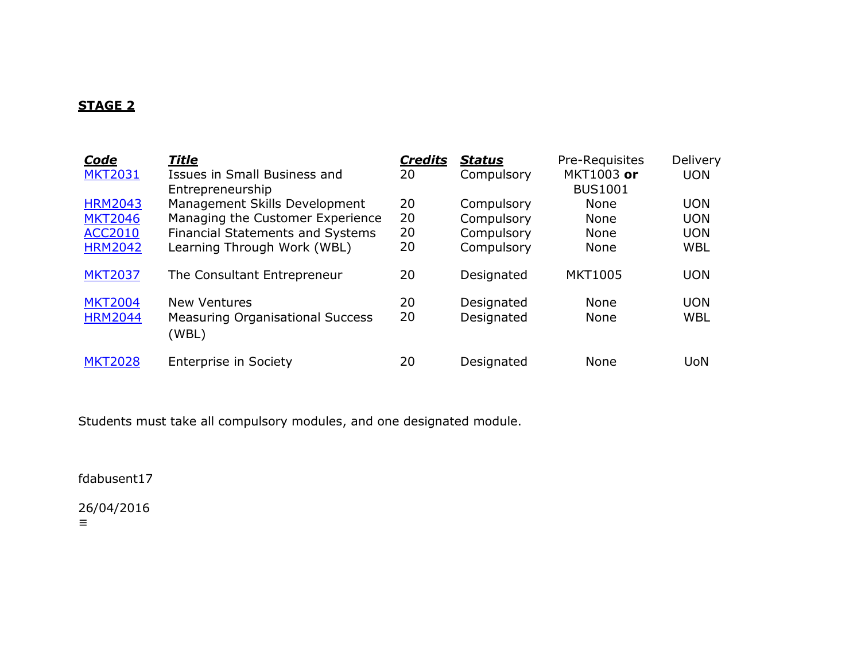# **STAGE 2**

| <b>Code</b><br><b>MKT2031</b>                                        | <u>Title</u><br>Issues in Small Business and<br>Entrepreneurship                                                                            | <b>Credits</b><br>20 | <b>Status</b><br>Compulsory                          | Pre-Requisites<br>MKT1003 or<br><b>BUS1001</b>    | Delivery<br><b>UON</b>                               |
|----------------------------------------------------------------------|---------------------------------------------------------------------------------------------------------------------------------------------|----------------------|------------------------------------------------------|---------------------------------------------------|------------------------------------------------------|
| <b>HRM2043</b><br><b>MKT2046</b><br><b>ACC2010</b><br><b>HRM2042</b> | Management Skills Development<br>Managing the Customer Experience<br><b>Financial Statements and Systems</b><br>Learning Through Work (WBL) | 20<br>20<br>20<br>20 | Compulsory<br>Compulsory<br>Compulsory<br>Compulsory | None<br><b>None</b><br><b>None</b><br><b>None</b> | <b>UON</b><br><b>UON</b><br><b>UON</b><br><b>WBL</b> |
| <b>MKT2037</b>                                                       | The Consultant Entrepreneur                                                                                                                 | 20                   | Designated                                           | <b>MKT1005</b>                                    | <b>UON</b>                                           |
| <b>MKT2004</b><br><b>HRM2044</b>                                     | <b>New Ventures</b><br><b>Measuring Organisational Success</b><br>(WBL)                                                                     | 20<br>20             | Designated<br>Designated                             | None<br>None                                      | <b>UON</b><br><b>WBL</b>                             |
| <b>MKT2028</b>                                                       | Enterprise in Society                                                                                                                       | 20                   | Designated                                           | None                                              | UoN                                                  |

Students must take all compulsory modules, and one designated module.

fdabusent17

26/04/2016 ≡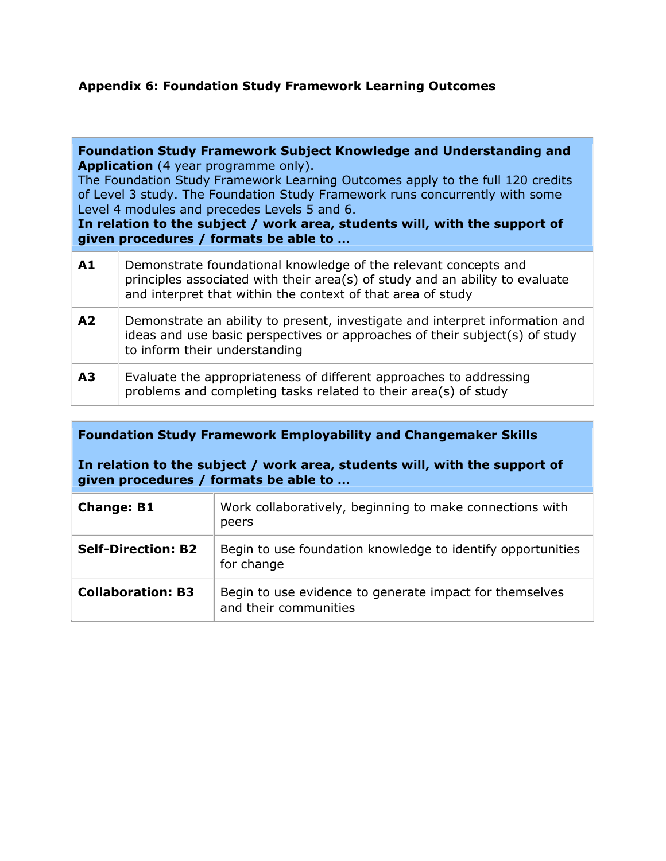# **Appendix 6: Foundation Study Framework Learning Outcomes**

**Foundation Study Framework Subject Knowledge and Understanding and Application** (4 year programme only).

The Foundation Study Framework Learning Outcomes apply to the full 120 credits of Level 3 study. The Foundation Study Framework runs concurrently with some Level 4 modules and precedes Levels 5 and 6.

**In relation to the subject / work area, students will, with the support of given procedures / formats be able to …**

| A1             | Demonstrate foundational knowledge of the relevant concepts and<br>principles associated with their area(s) of study and an ability to evaluate<br>and interpret that within the context of that area of study |
|----------------|----------------------------------------------------------------------------------------------------------------------------------------------------------------------------------------------------------------|
| A <sub>2</sub> | Demonstrate an ability to present, investigate and interpret information and<br>ideas and use basic perspectives or approaches of their subject(s) of study<br>to inform their understanding                   |
| A <sub>3</sub> | Evaluate the appropriateness of different approaches to addressing<br>problems and completing tasks related to their area(s) of study                                                                          |

**Foundation Study Framework Employability and Changemaker Skills**

**In relation to the subject / work area, students will, with the support of given procedures / formats be able to …**

| <b>Change: B1</b>         | Work collaboratively, beginning to make connections with<br>peers                |
|---------------------------|----------------------------------------------------------------------------------|
| <b>Self-Direction: B2</b> | Begin to use foundation knowledge to identify opportunities<br>for change        |
| <b>Collaboration: B3</b>  | Begin to use evidence to generate impact for themselves<br>and their communities |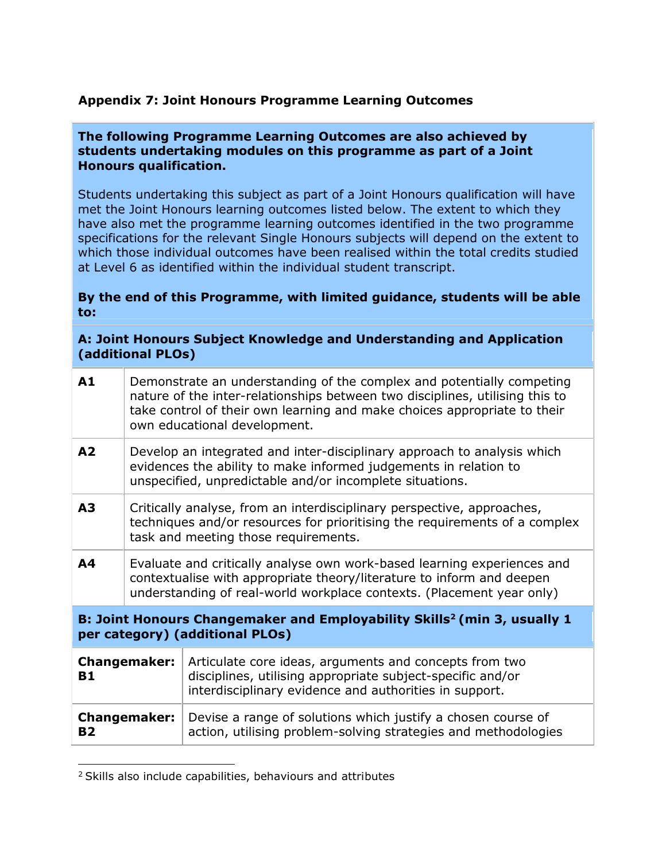# **Appendix 7: Joint Honours Programme Learning Outcomes**

#### **The following Programme Learning Outcomes are also achieved by students undertaking modules on this programme as part of a Joint Honours qualification.**

Students undertaking this subject as part of a Joint Honours qualification will have met the Joint Honours learning outcomes listed below. The extent to which they have also met the programme learning outcomes identified in the two programme specifications for the relevant Single Honours subjects will depend on the extent to which those individual outcomes have been realised within the total credits studied at Level 6 as identified within the individual student transcript.

#### **By the end of this Programme, with limited guidance, students will be able to:**

#### **A: Joint Honours Subject Knowledge and Understanding and Application (additional PLOs)**

| A1                                                                                                                      | Demonstrate an understanding of the complex and potentially competing<br>nature of the inter-relationships between two disciplines, utilising this to<br>take control of their own learning and make choices appropriate to their<br>own educational development. |                                                                                                                                                                                |  |
|-------------------------------------------------------------------------------------------------------------------------|-------------------------------------------------------------------------------------------------------------------------------------------------------------------------------------------------------------------------------------------------------------------|--------------------------------------------------------------------------------------------------------------------------------------------------------------------------------|--|
| A <sub>2</sub>                                                                                                          | Develop an integrated and inter-disciplinary approach to analysis which<br>evidences the ability to make informed judgements in relation to<br>unspecified, unpredictable and/or incomplete situations.                                                           |                                                                                                                                                                                |  |
| A <sub>3</sub>                                                                                                          | Critically analyse, from an interdisciplinary perspective, approaches,<br>techniques and/or resources for prioritising the requirements of a complex<br>task and meeting those requirements.                                                                      |                                                                                                                                                                                |  |
| A4                                                                                                                      | Evaluate and critically analyse own work-based learning experiences and<br>contextualise with appropriate theory/literature to inform and deepen<br>understanding of real-world workplace contexts. (Placement year only)                                         |                                                                                                                                                                                |  |
| B: Joint Honours Changemaker and Employability Skills <sup>2</sup> (min 3, usually 1<br>per category) (additional PLOs) |                                                                                                                                                                                                                                                                   |                                                                                                                                                                                |  |
| <b>Changemaker:</b><br><b>B1</b>                                                                                        |                                                                                                                                                                                                                                                                   | Articulate core ideas, arguments and concepts from two<br>disciplines, utilising appropriate subject-specific and/or<br>interdisciplinary evidence and authorities in support. |  |
| <b>Changemaker:</b><br><b>B2</b>                                                                                        |                                                                                                                                                                                                                                                                   | Devise a range of solutions which justify a chosen course of<br>action, utilising problem-solving strategies and methodologies                                                 |  |

<sup>&</sup>lt;sup>2</sup> Skills also include capabilities, behaviours and attributes